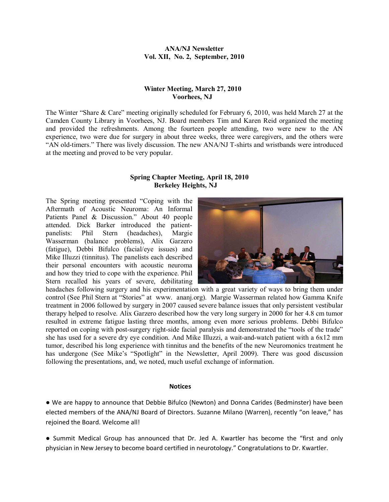### **ANA/NJ Newsletter Vol. XII, No. 2, September, 2010**

# **Winter Meeting, March 27, 2010 Voorhees, NJ**

The Winter "Share & Care" meeting originally scheduled for February 6, 2010, was held March 27 at the Camden County Library in Voorhees, NJ. Board members Tim and Karen Reid organized the meeting and provided the refreshments. Among the fourteen people attending, two were new to the AN experience, two were due for surgery in about three weeks, three were caregivers, and the others were "AN old-timers." There was lively discussion. The new ANA/NJ T-shirts and wristbands were introduced at the meeting and proved to be very popular.

# **Spring Chapter Meeting, April 18, 2010 Berkeley Heights, NJ**

The Spring meeting presented "Coping with the Aftermath of Acoustic Neuroma: An Informal Patients Panel & Discussion." About 40 people attended. Dick Barker introduced the patientpanelists: Phil Stern (headaches), Margie Wasserman (balance problems), Alix Garzero (fatigue), Debbi Bifulco (facial/eye issues) and Mike Illuzzi (tinnitus). The panelists each described their personal encounters with acoustic neuroma and how they tried to cope with the experience. Phil Stern recalled his years of severe, debilitating



headaches following surgery and his experimentation with a great variety of ways to bring them under control (See Phil Stern at "Stories" at www. ananj.org). Margie Wasserman related how Gamma Knife treatment in 2006 followed by surgery in 2007 caused severe balance issues that only persistent vestibular therapy helped to resolve. Alix Garzero described how the very long surgery in 2000 for her 4.8 cm tumor resulted in extreme fatigue lasting three months, among even more serious problems. Debbi Bifulco reported on coping with post-surgery right-side facial paralysis and demonstrated the "tools of the trade" she has used for a severe dry eye condition. And Mike Illuzzi, a wait-and-watch patient with a 6x12 mm tumor, described his long experience with tinnitus and the benefits of the new Neuromonics treatment he has undergone (See Mike's "Spotlight" in the Newsletter, April 2009). There was good discussion following the presentations, and, we noted, much useful exchange of information.

#### **Notices**

● We are happy to announce that Debbie Bifulco (Newton) and Donna Carides (Bedminster) have been elected members of the ANA/NJ Board of Directors. Suzanne Milano (Warren), recently "on leave," has rejoined the Board. Welcome all!

● Summit Medical Group has announced that Dr. Jed A. Kwartler has become the "first and only physician in New Jersey to become board certified in neurotology." Congratulations to Dr. Kwartler.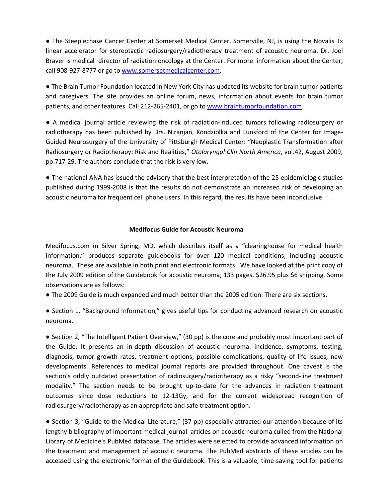● The Steeplechase Cancer Center at Somerset Medical Center, Somerville, NJ, is using the Novalis Tx linear accelerator for stereotactic radiosurgery/radiotherapy treatment of acoustic neuroma. Dr. Joel Braver is medical director of radiation oncology at the Center. For more information about the Center, call 908-927-8777 or go to www.somersetmedicalcenter.com.

● The Brain Tumor Foundation located in New York City has updated its website for brain tumor patients and caregivers. The site provides an online forum, news, information about events for brain tumor patients, and other features. Call 212-265-2401, or go to www.braintumorfoundation.com.

● A medical journal article reviewing the risk of radiation-induced tumors following radiosurgery or radiotherapy has been published by Drs. Niranjan, Kondziolka and Lunsford of the Center for Image-Guided Neurosurgery of the University of Pittsburgh Medical Center: "Neoplastic Transformation after Radiosurgery or Radiotherapy: Risk and Realities," *Otolaryngol Clin North America*, vol.42, August 2009, pp.717-29. The authors conclude that the risk is very low.

● The national ANA has issued the advisory that the best interpretation of the 25 epidemiologic studies published during 1999-2008 is that the results do not demonstrate an increased risk of developing an acoustic neuroma for frequent cell phone users. In this regard, the results have been inconclusive.

# **Medifocus Guide for Acoustic Neuroma**

Medifocus.com in Silver Spring, MD, which describes itself as a "clearinghouse for medical health information," produces separate guidebooks for over 120 medical conditions, including acoustic neuroma. These are available in both print and electronic formats. We have looked at the print copy of the July 2009 edition of the Guidebook for acoustic neuroma, 133 pages, \$26.95 plus \$6 shipping. Some observations are as follows:

● The 2009 Guide is much expanded and much better than the 2005 edition. There are six sections.

● Section 1, "Background Information," gives useful tips for conducting advanced research on acoustic neuroma.

● Section 2, "The Intelligent Patient Overview," (30 pp) is the core and probably most important part of the Guide. It presents an in-depth discussion of acoustic neuroma: incidence, symptoms, testing, diagnosis, tumor growth rates, treatment options, possible complications, quality of life issues, new developments. References to medical journal reports are provided throughout. One caveat is the section's oddly outdated presentation of radiosurgery/radiotherapy as a risky "second-line treatment modality." The section needs to be brought up-to-date for the advances in radiation treatment outcomes since dose reductions to 12-13Gy, and for the current widespread recognition of radiosurgery/radiotherapy as an appropriate and safe treatment option.

● Section 3, "Guide to the Medical Literature," (37 pp) especially attracted our attention because of its lengthy bibliography of important medical journal articles on acoustic neuroma culled from the National Library of Medicine's PubMed database. The articles were selected to provide advanced information on the treatment and management of acoustic neuroma. The PubMed abstracts of these articles can be accessed using the electronic format of the Guidebook. This is a valuable, time-saving tool for patients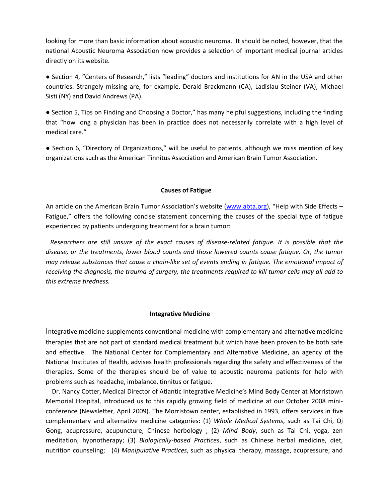looking for more than basic information about acoustic neuroma. It should be noted, however, that the national Acoustic Neuroma Association now provides a selection of important medical journal articles directly on its website.

● Section 4, "Centers of Research," lists "leading" doctors and institutions for AN in the USA and other countries. Strangely missing are, for example, Derald Brackmann (CA), Ladislau Steiner (VA), Michael Sisti (NY) and David Andrews (PA).

● Section 5, Tips on Finding and Choosing a Doctor," has many helpful suggestions, including the finding that "how long a physician has been in practice does not necessarily correlate with a high level of medical care."

● Section 6, "Directory of Organizations," will be useful to patients, although we miss mention of key organizations such as the American Tinnitus Association and American Brain Tumor Association.

#### **Causes of Fatigue**

An article on the American Brain Tumor Association's website (www.abta.org), "Help with Side Effects – Fatigue," offers the following concise statement concerning the causes of the special type of fatigue experienced by patients undergoing treatment for a brain tumor:

 *Researchers are still unsure of the exact causes of disease-related fatigue. It is possible that the disease, or the treatments, lower blood counts and those lowered counts cause fatigue. Or, the tumor may release substances that cause a chain-like set of events ending in fatigue. The emotional impact of* receiving the diagnosis, the trauma of surgery, the treatments required to kill tumor cells may all add to *this extreme tiredness.* 

#### **Integrative Medicine**

Integrative medicine supplements conventional medicine with complementary and alternative medicine therapies that are not part of standard medical treatment but which have been proven to be both safe and effective. The National Center for Complementary and Alternative Medicine, an agency of the National Institutes of Health, advises health professionals regarding the safety and effectiveness of the therapies. Some of the therapies should be of value to acoustic neuroma patients for help with problems such as headache, imbalance, tinnitus or fatigue.

 Dr. Nancy Cotter, Medical Director of Atlantic Integrative Medicine's Mind Body Center at Morristown Memorial Hospital, introduced us to this rapidly growing field of medicine at our October 2008 miniconference (Newsletter, April 2009). The Morristown center, established in 1993, offers services in five complementary and alternative medicine categories: (1) *Whole Medical Systems*, such as Tai Chi, Qi Gong, acupressure, acupuncture, Chinese herbology ; (2) *Mind Body*, such as Tai Chi, yoga, zen meditation, hypnotherapy; (3) *Biologically-based Practices*, such as Chinese herbal medicine, diet, nutrition counseling; (4) *Manipulative Practices*, such as physical therapy, massage, acupressure; and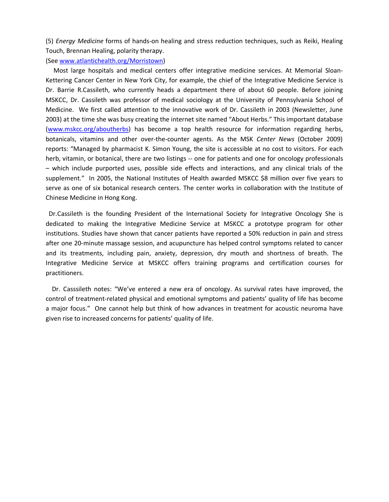(5) *Energy Medicine* forms of hands-on healing and stress reduction techniques, such as Reiki, Healing Touch, Brennan Healing, polarity therapy.

(See www.atlantichealth.org/Morristown)

 Most large hospitals and medical centers offer integrative medicine services. At Memorial Sloan-Kettering Cancer Center in New York City, for example, the chief of the Integrative Medicine Service is Dr. Barrie R.Cassileth, who currently heads a department there of about 60 people. Before joining MSKCC, Dr. Cassileth was professor of medical sociology at the University of Pennsylvania School of Medicine. We first called attention to the innovative work of Dr. Cassileth in 2003 (Newsletter, June 2003) at the time she was busy creating the internet site named "About Herbs." This important database (www.mskcc.org/aboutherbs) has become a top health resource for information regarding herbs, botanicals, vitamins and other over-the-counter agents. As the MSK *Center News* (October 2009) reports: "Managed by pharmacist K. Simon Young, the site is accessible at no cost to visitors. For each herb, vitamin, or botanical, there are two listings -- one for patients and one for oncology professionals – which include purported uses, possible side effects and interactions, and any clinical trials of the supplement." In 2005, the National Institutes of Health awarded MSKCC \$8 million over five years to serve as one of six botanical research centers. The center works in collaboration with the Institute of Chinese Medicine in Hong Kong.

Dr.Cassileth is the founding President of the International Society for Integrative Oncology She is dedicated to making the Integrative Medicine Service at MSKCC a prototype program for other institutions. Studies have shown that cancer patients have reported a 50% reduction in pain and stress after one 20-minute massage session, and acupuncture has helped control symptoms related to cancer and its treatments, including pain, anxiety, depression, dry mouth and shortness of breath. The Integrative Medicine Service at MSKCC offers training programs and certification courses for practitioners.

 Dr. Casssileth notes: "We've entered a new era of oncology. As survival rates have improved, the control of treatment-related physical and emotional symptoms and patients' quality of life has become a major focus." One cannot help but think of how advances in treatment for acoustic neuroma have given rise to increased concerns for patients' quality of life.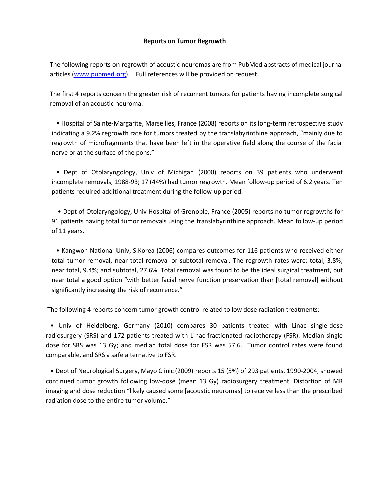### **Reports on Tumor Regrowth**

The following reports on regrowth of acoustic neuromas are from PubMed abstracts of medical journal articles (www.pubmed.org). Full references will be provided on request.

The first 4 reports concern the greater risk of recurrent tumors for patients having incomplete surgical removal of an acoustic neuroma.

 • Hospital of Sainte-Margarite, Marseilles, France (2008) reports on its long-term retrospective study indicating a 9.2% regrowth rate for tumors treated by the translabyrinthine approach, "mainly due to regrowth of microfragments that have been left in the operative field along the course of the facial nerve or at the surface of the pons."

 • Dept of Otolaryngology, Univ of Michigan (2000) reports on 39 patients who underwent incomplete removals, 1988-93; 17 (44%) had tumor regrowth. Mean follow-up period of 6.2 years. Ten patients required additional treatment during the follow-up period.

 • Dept of Otolaryngology, Univ Hospital of Grenoble, France (2005) reports no tumor regrowths for 91 patients having total tumor removals using the translabyrinthine approach. Mean follow-up period of 11 years.

 • Kangwon National Univ, S.Korea (2006) compares outcomes for 116 patients who received either total tumor removal, near total removal or subtotal removal. The regrowth rates were: total, 3.8%; near total, 9.4%; and subtotal, 27.6%. Total removal was found to be the ideal surgical treatment, but near total a good option "with better facial nerve function preservation than [total removal] without significantly increasing the risk of recurrence."

The following 4 reports concern tumor growth control related to low dose radiation treatments:

 • Univ of Heidelberg, Germany (2010) compares 30 patients treated with Linac single-dose radiosurgery (SRS) and 172 patients treated with Linac fractionated radiotherapy (FSR). Median single dose for SRS was 13 Gy; and median total dose for FSR was 57.6. Tumor control rates were found comparable, and SRS a safe alternative to FSR.

 • Dept of Neurological Surgery, Mayo Clinic (2009) reports 15 (5%) of 293 patients, 1990-2004, showed continued tumor growth following low-dose (mean 13 Gy) radiosurgery treatment. Distortion of MR imaging and dose reduction "likely caused some [acoustic neuromas] to receive less than the prescribed radiation dose to the entire tumor volume."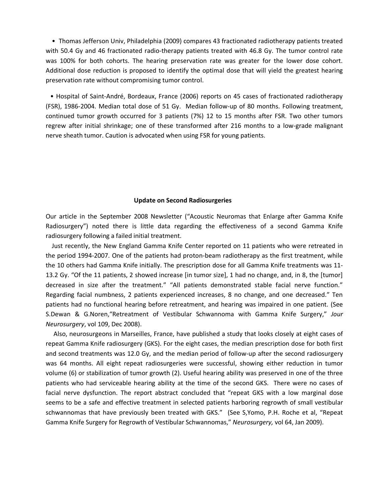• Thomas Jefferson Univ, Philadelphia (2009) compares 43 fractionated radiotherapy patients treated with 50.4 Gy and 46 fractionated radio-therapy patients treated with 46.8 Gy. The tumor control rate was 100% for both cohorts. The hearing preservation rate was greater for the lower dose cohort. Additional dose reduction is proposed to identify the optimal dose that will yield the greatest hearing preservation rate without compromising tumor control.

 • Hospital of Saint-André, Bordeaux, France (2006) reports on 45 cases of fractionated radiotherapy (FSR), 1986-2004. Median total dose of 51 Gy. Median follow-up of 80 months. Following treatment, continued tumor growth occurred for 3 patients (7%) 12 to 15 months after FSR. Two other tumors regrew after initial shrinkage; one of these transformed after 216 months to a low-grade malignant nerve sheath tumor. Caution is advocated when using FSR for young patients.

#### **Update on Second Radiosurgeries**

Our article in the September 2008 Newsletter ("Acoustic Neuromas that Enlarge after Gamma Knife Radiosurgery") noted there is little data regarding the effectiveness of a second Gamma Knife radiosurgery following a failed initial treatment.

 Just recently, the New England Gamma Knife Center reported on 11 patients who were retreated in the period 1994-2007. One of the patients had proton-beam radiotherapy as the first treatment, while the 10 others had Gamma Knife initially. The prescription dose for all Gamma Knife treatments was 11- 13.2 Gy. "Of the 11 patients, 2 showed increase [in tumor size], 1 had no change, and, in 8, the [tumor] decreased in size after the treatment." "All patients demonstrated stable facial nerve function." Regarding facial numbness, 2 patients experienced increases, 8 no change, and one decreased." Ten patients had no functional hearing before retreatment, and hearing was impaired in one patient. (See S.Dewan & G.Noren,"Retreatment of Vestibular Schwannoma with Gamma Knife Surgery," *Jour Neurosurgery*, vol 109, Dec 2008).

 Also, neurosurgeons in Marseilles, France, have published a study that looks closely at eight cases of repeat Gamma Knife radiosurgery (GKS). For the eight cases, the median prescription dose for both first and second treatments was 12.0 Gy, and the median period of follow-up after the second radiosurgery was 64 months. All eight repeat radiosurgeries were successful, showing either reduction in tumor volume (6) or stabilization of tumor growth (2). Useful hearing ability was preserved in one of the three patients who had serviceable hearing ability at the time of the second GKS. There were no cases of facial nerve dysfunction. The report abstract concluded that "repeat GKS with a low marginal dose seems to be a safe and effective treatment in selected patients harboring regrowth of small vestibular schwannomas that have previously been treated with GKS." (See S,Yomo, P.H. Roche et al, "Repeat Gamma Knife Surgery for Regrowth of Vestibular Schwannomas," *Neurosurgery,* vol 64, Jan 2009).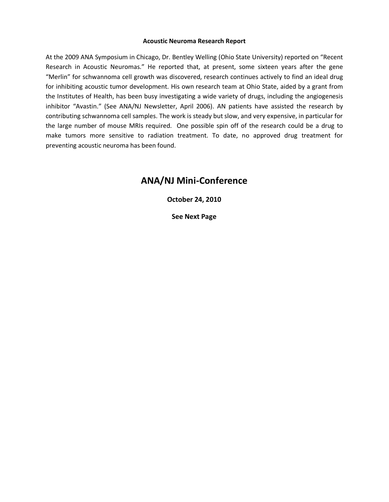#### **Acoustic Neuroma Research Report**

At the 2009 ANA Symposium in Chicago, Dr. Bentley Welling (Ohio State University) reported on "Recent Research in Acoustic Neuromas." He reported that, at present, some sixteen years after the gene "Merlin" for schwannoma cell growth was discovered, research continues actively to find an ideal drug for inhibiting acoustic tumor development. His own research team at Ohio State, aided by a grant from the Institutes of Health, has been busy investigating a wide variety of drugs, including the angiogenesis inhibitor "Avastin." (See ANA/NJ Newsletter, April 2006). AN patients have assisted the research by contributing schwannoma cell samples. The work is steady but slow, and very expensive, in particular for the large number of mouse MRIs required. One possible spin off of the research could be a drug to make tumors more sensitive to radiation treatment. To date, no approved drug treatment for preventing acoustic neuroma has been found.

# **ANA/NJ Mini-Conference**

**October 24, 2010**

**See Next Page**